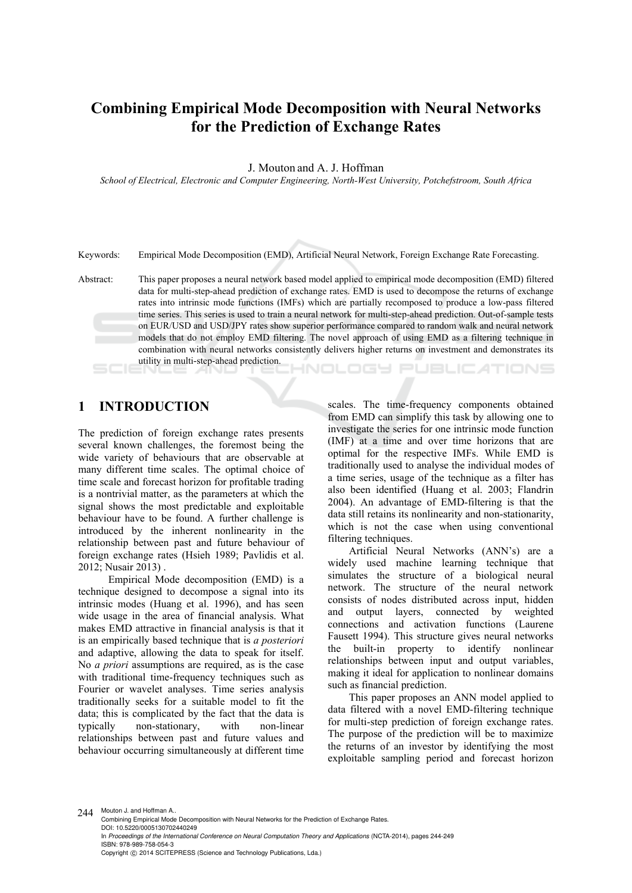# **Combining Empirical Mode Decomposition with Neural Networks for the Prediction of Exchange Rates**

J. Mouton and A. J. Hoffman

*School of Electrical, Electronic and Computer Engineering, North-West University, Potchefstroom, South Africa* 

Keywords: Empirical Mode Decomposition (EMD), Artificial Neural Network, Foreign Exchange Rate Forecasting.

Abstract: This paper proposes a neural network based model applied to empirical mode decomposition (EMD) filtered data for multi-step-ahead prediction of exchange rates. EMD is used to decompose the returns of exchange rates into intrinsic mode functions (IMFs) which are partially recomposed to produce a low-pass filtered time series. This series is used to train a neural network for multi-step-ahead prediction. Out-of-sample tests on EUR/USD and USD/JPY rates show superior performance compared to random walk and neural network models that do not employ EMD filtering. The novel approach of using EMD as a filtering technique in combination with neural networks consistently delivers higher returns on investment and demonstrates its utility in multi-step-ahead prediction. HNOLOGY PUBLIC ATIONS

# **1 INTRODUCTION**

The prediction of foreign exchange rates presents several known challenges, the foremost being the wide variety of behaviours that are observable at many different time scales. The optimal choice of time scale and forecast horizon for profitable trading is a nontrivial matter, as the parameters at which the signal shows the most predictable and exploitable behaviour have to be found. A further challenge is introduced by the inherent nonlinearity in the relationship between past and future behaviour of foreign exchange rates (Hsieh 1989; Pavlidis et al. 2012; Nusair 2013) .

Empirical Mode decomposition (EMD) is a technique designed to decompose a signal into its intrinsic modes (Huang et al. 1996), and has seen wide usage in the area of financial analysis. What makes EMD attractive in financial analysis is that it is an empirically based technique that is *a posteriori* and adaptive, allowing the data to speak for itself. No *a priori* assumptions are required, as is the case with traditional time-frequency techniques such as Fourier or wavelet analyses. Time series analysis traditionally seeks for a suitable model to fit the data; this is complicated by the fact that the data is typically non-stationary, with non-linear relationships between past and future values and behaviour occurring simultaneously at different time

scales. The time-frequency components obtained from EMD can simplify this task by allowing one to investigate the series for one intrinsic mode function (IMF) at a time and over time horizons that are optimal for the respective IMFs. While EMD is traditionally used to analyse the individual modes of a time series, usage of the technique as a filter has also been identified (Huang et al. 2003; Flandrin 2004). An advantage of EMD-filtering is that the data still retains its nonlinearity and non-stationarity, which is not the case when using conventional filtering techniques.

Artificial Neural Networks (ANN's) are a widely used machine learning technique that simulates the structure of a biological neural network. The structure of the neural network consists of nodes distributed across input, hidden and output layers, connected by weighted connections and activation functions (Laurene Fausett 1994). This structure gives neural networks the built-in property to identify nonlinear relationships between input and output variables, making it ideal for application to nonlinear domains such as financial prediction.

This paper proposes an ANN model applied to data filtered with a novel EMD-filtering technique for multi-step prediction of foreign exchange rates. The purpose of the prediction will be to maximize the returns of an investor by identifying the most exploitable sampling period and forecast horizon

244 Mouton J. and Hoffman A.. Combining Empirical Mode Decomposition with Neural Networks for the Prediction of Exchange Rates. DOI: 10.5220/0005130702440249 In *Proceedings of the International Conference on Neural Computation Theory and Applications* (NCTA-2014), pages 244-249 ISBN: 978-989-758-054-3 Copyright © 2014 SCITEPRESS (Science and Technology Publications, Lda.)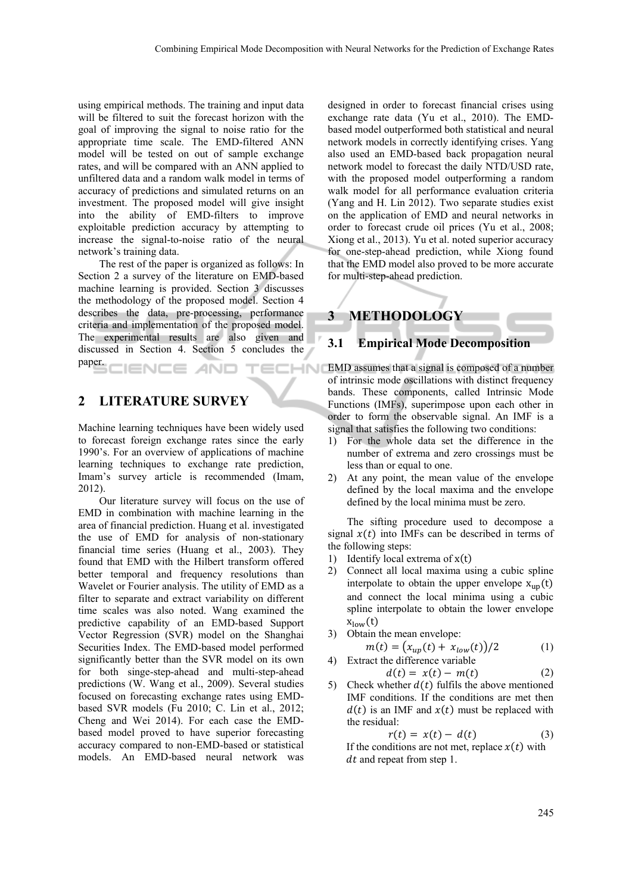using empirical methods. The training and input data will be filtered to suit the forecast horizon with the goal of improving the signal to noise ratio for the appropriate time scale. The EMD-filtered ANN model will be tested on out of sample exchange rates, and will be compared with an ANN applied to unfiltered data and a random walk model in terms of accuracy of predictions and simulated returns on an investment. The proposed model will give insight into the ability of EMD-filters to improve exploitable prediction accuracy by attempting to increase the signal-to-noise ratio of the neural network's training data.

The rest of the paper is organized as follows: In Section 2 a survey of the literature on EMD-based machine learning is provided. Section 3 discusses the methodology of the proposed model. Section 4 describes the data, pre-processing, performance criteria and implementation of the proposed model. The experimental results are also given and discussed in Section 4. Section 5 concludes the paper. IENCE *A*ND ECHNO

# **2 LITERATURE SURVEY**

Machine learning techniques have been widely used to forecast foreign exchange rates since the early 1990's. For an overview of applications of machine learning techniques to exchange rate prediction, Imam's survey article is recommended (Imam, 2012).

Our literature survey will focus on the use of EMD in combination with machine learning in the area of financial prediction. Huang et al. investigated the use of EMD for analysis of non-stationary financial time series (Huang et al., 2003). They found that EMD with the Hilbert transform offered better temporal and frequency resolutions than Wavelet or Fourier analysis. The utility of EMD as a filter to separate and extract variability on different time scales was also noted. Wang examined the predictive capability of an EMD-based Support Vector Regression (SVR) model on the Shanghai Securities Index. The EMD-based model performed significantly better than the SVR model on its own for both singe-step-ahead and multi-step-ahead predictions (W. Wang et al., 2009). Several studies focused on forecasting exchange rates using EMDbased SVR models (Fu 2010; C. Lin et al., 2012; Cheng and Wei 2014). For each case the EMDbased model proved to have superior forecasting accuracy compared to non-EMD-based or statistical models. An EMD-based neural network was

designed in order to forecast financial crises using exchange rate data (Yu et al., 2010). The EMDbased model outperformed both statistical and neural network models in correctly identifying crises. Yang also used an EMD-based back propagation neural network model to forecast the daily NTD/USD rate, with the proposed model outperforming a random walk model for all performance evaluation criteria (Yang and H. Lin 2012). Two separate studies exist on the application of EMD and neural networks in order to forecast crude oil prices (Yu et al., 2008; Xiong et al., 2013). Yu et al. noted superior accuracy for one-step-ahead prediction, while Xiong found that the EMD model also proved to be more accurate for multi-step-ahead prediction.



### **3.1 Empirical Mode Decomposition**

EMD assumes that a signal is composed of a number of intrinsic mode oscillations with distinct frequency bands. These components, called Intrinsic Mode Functions (IMFs), superimpose upon each other in order to form the observable signal. An IMF is a signal that satisfies the following two conditions:

- 1) For the whole data set the difference in the number of extrema and zero crossings must be less than or equal to one.
- 2) At any point, the mean value of the envelope defined by the local maxima and the envelope defined by the local minima must be zero.

The sifting procedure used to decompose a signal  $x(t)$  into IMFs can be described in terms of the following steps:

- 1) Identify local extrema of  $x(t)$
- 2) Connect all local maxima using a cubic spline interpolate to obtain the upper envelope  $x_{up}(t)$ and connect the local minima using a cubic spline interpolate to obtain the lower envelope  $x_{low}(t)$
- 3) Obtain the mean envelope:

$$
m(t) = (x_{up}(t) + x_{low}(t))/2
$$
 (1)  
4) Extract the difference variable

$$
d(t) = x(t) - m(t)
$$
\n
$$
\tag{2}
$$

5) Check whether  $d(t)$  fulfils the above mentioned IMF conditions. If the conditions are met then  $d(t)$  is an IMF and  $x(t)$  must be replaced with the residual:

$$
r(t) = x(t) - d(t) \tag{3}
$$

If the conditions are not met, replace  $x(t)$  with dt and repeat from step 1.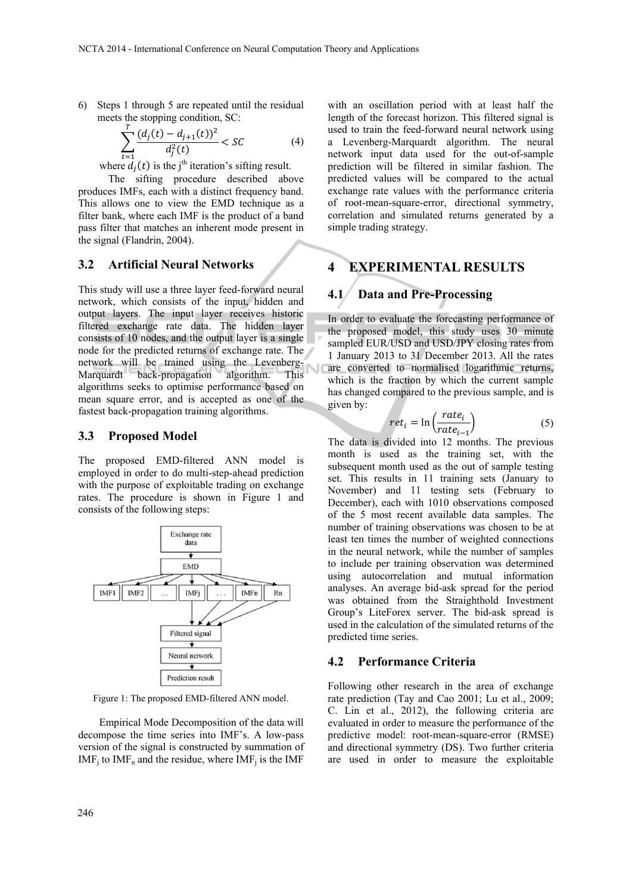6) Steps 1 through 5 are repeated until the residual meets the stopping condition, SC:

$$
\sum_{t=1}^{T} \frac{(d_j(t) - d_{j+1}(t))^2}{d_j^2(t)} < \mathcal{SC} \tag{4}
$$

where  $d_i(t)$  is the j<sup>th</sup> iteration's sifting result.

The sifting procedure described above produces IMFs, each with a distinct frequency band. This allows one to view the EMD technique as a filter bank, where each IMF is the product of a band pass filter that matches an inherent mode present in the signal (Flandrin, 2004).

#### **3.2 Artificial Neural Networks**

This study will use a three layer feed-forward neural network, which consists of the input, hidden and output layers. The input layer receives historic filtered exchange rate data. The hidden layer consists of 10 nodes, and the output layer is a single node for the predicted returns of exchange rate. The network will be trained using the Levenberg-Marquardt back-propagation algorithm. This algorithms seeks to optimise performance based on mean square error, and is accepted as one of the fastest back-propagation training algorithms.

#### **3.3 Proposed Model**

The proposed EMD-filtered ANN model is employed in order to do multi-step-ahead prediction with the purpose of exploitable trading on exchange rates. The procedure is shown in Figure 1 and consists of the following steps:



Figure 1: The proposed EMD-filtered ANN model.

Empirical Mode Decomposition of the data will decompose the time series into IMF's. A low-pass version of the signal is constructed by summation of  $IMF_i$  to  $IMF_n$  and the residue, where  $IMF_i$  is the IMF

with an oscillation period with at least half the length of the forecast horizon. This filtered signal is used to train the feed-forward neural network using a Levenberg-Marquardt algorithm. The neural network input data used for the out-of-sample prediction will be filtered in similar fashion. The predicted values will be compared to the actual exchange rate values with the performance criteria of root-mean-square-error, directional symmetry, correlation and simulated returns generated by a simple trading strategy.

## **4 EXPERIMENTAL RESULTS**

#### **4.1 Data and Pre-Processing**

In order to evaluate the forecasting performance of the proposed model, this study uses 30 minute sampled EUR/USD and USD/JPY closing rates from 1 January 2013 to 31 December 2013. All the rates are converted to normalised logarithmic returns, which is the fraction by which the current sample has changed compared to the previous sample, and is given by:

$$
ret_i = \ln\left(\frac{rate_i}{rate_{i-1}}\right) \tag{5}
$$

The data is divided into 12 months. The previous month is used as the training set, with the subsequent month used as the out of sample testing set. This results in 11 training sets (January to November) and 11 testing sets (February to December), each with 1010 observations composed of the 5 most recent available data samples. The number of training observations was chosen to be at least ten times the number of weighted connections in the neural network, while the number of samples to include per training observation was determined using autocorrelation and mutual information analyses. An average bid-ask spread for the period was obtained from the Straighthold Investment Group's LiteForex server. The bid-ask spread is used in the calculation of the simulated returns of the predicted time series.

#### **4.2 Performance Criteria**

Following other research in the area of exchange rate prediction (Tay and Cao 2001; Lu et al., 2009; C. Lin et al., 2012), the following criteria are evaluated in order to measure the performance of the predictive model: root-mean-square-error (RMSE) and directional symmetry (DS). Two further criteria are used in order to measure the exploitable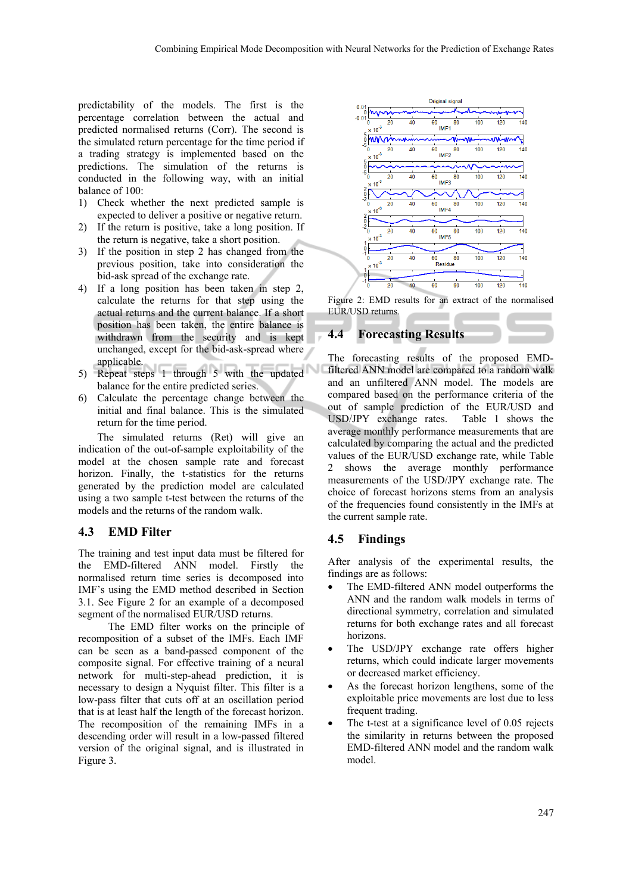predictability of the models. The first is the percentage correlation between the actual and predicted normalised returns (Corr). The second is the simulated return percentage for the time period if a trading strategy is implemented based on the predictions. The simulation of the returns is conducted in the following way, with an initial balance of 100:

- 1) Check whether the next predicted sample is expected to deliver a positive or negative return.
- 2) If the return is positive, take a long position. If the return is negative, take a short position.
- 3) If the position in step 2 has changed from the previous position, take into consideration the bid-ask spread of the exchange rate.
- 4) If a long position has been taken in step 2, calculate the returns for that step using the actual returns and the current balance. If a short position has been taken, the entire balance is withdrawn from the security and is kept unchanged, except for the bid-ask-spread where applicable.
- 5) Repeat steps 1 through 5 with the updated balance for the entire predicted series.
- 6) Calculate the percentage change between the initial and final balance. This is the simulated return for the time period.

The simulated returns (Ret) will give an indication of the out-of-sample exploitability of the model at the chosen sample rate and forecast horizon. Finally, the t-statistics for the returns generated by the prediction model are calculated using a two sample t-test between the returns of the models and the returns of the random walk.

## **4.3 EMD Filter**

The training and test input data must be filtered for the EMD-filtered ANN model. Firstly the normalised return time series is decomposed into IMF's using the EMD method described in Section 3.1. See Figure 2 for an example of a decomposed segment of the normalised EUR/USD returns.

The EMD filter works on the principle of recomposition of a subset of the IMFs. Each IMF can be seen as a band-passed component of the composite signal. For effective training of a neural network for multi-step-ahead prediction, it is necessary to design a Nyquist filter. This filter is a low-pass filter that cuts off at an oscillation period that is at least half the length of the forecast horizon. The recomposition of the remaining IMFs in a descending order will result in a low-passed filtered version of the original signal, and is illustrated in Figure 3.



Figure 2: EMD results for an extract of the normalised EUR/USD returns.

## **4.4 Forecasting Results**

The forecasting results of the proposed EMDfiltered ANN model are compared to a random walk and an unfiltered ANN model. The models are compared based on the performance criteria of the out of sample prediction of the EUR/USD and USD/JPY exchange rates. Table 1 shows the average monthly performance measurements that are calculated by comparing the actual and the predicted values of the EUR/USD exchange rate, while Table 2 shows the average monthly performance measurements of the USD/JPY exchange rate. The choice of forecast horizons stems from an analysis of the frequencies found consistently in the IMFs at the current sample rate.

## **4.5 Findings**

After analysis of the experimental results, the findings are as follows:

- The EMD-filtered ANN model outperforms the ANN and the random walk models in terms of directional symmetry, correlation and simulated returns for both exchange rates and all forecast horizons.
- The USD/JPY exchange rate offers higher returns, which could indicate larger movements or decreased market efficiency.
- As the forecast horizon lengthens, some of the exploitable price movements are lost due to less frequent trading.
- The t-test at a significance level of 0.05 rejects the similarity in returns between the proposed EMD-filtered ANN model and the random walk model.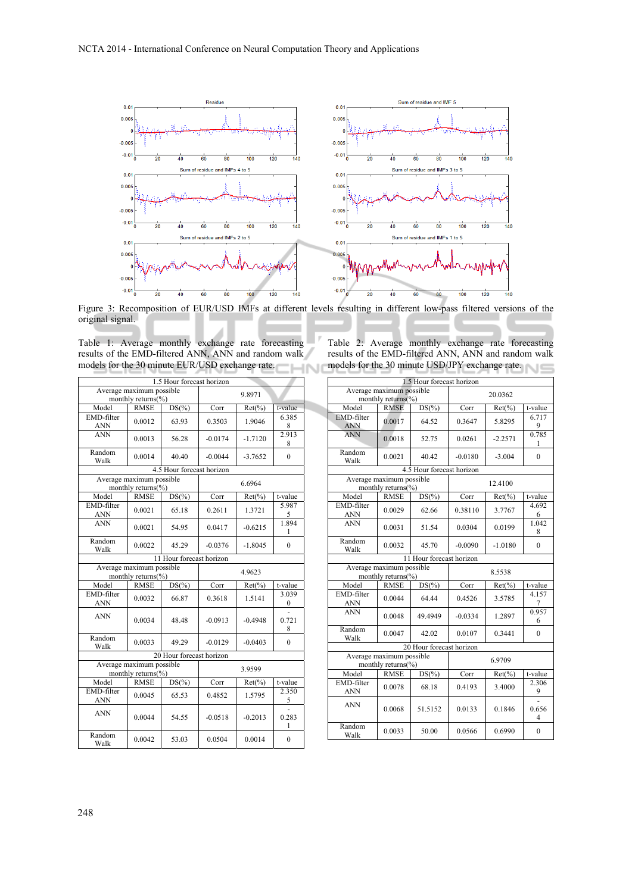

Figure 3: Recomposition of EUR/USD IMFs at different levels resulting in different low-pass filtered versions of the original signal.

Table 1: Average monthly exchange rate forecasting results of the EMD-filtered ANN, ANN and random walk models for the 30 minute EUR/USD exchange rate. HN.

|  | Table 2: Average monthly exchange rate forecasting   |  |  |  |
|--|------------------------------------------------------|--|--|--|
|  | results of the EMD-filtered ANN, ANN and random walk |  |  |  |
|  | models for the 30 minute USD/JPY exchange rate.      |  |  |  |

| 1.5 Hour forecast horizon                      |                                                |                           |           |           |                   |  |  |
|------------------------------------------------|------------------------------------------------|---------------------------|-----------|-----------|-------------------|--|--|
|                                                | Average maximum possible                       |                           |           | 9.8971    |                   |  |  |
|                                                | monthly returns(%)                             |                           |           |           |                   |  |  |
| Model                                          | <b>RMSE</b>                                    | DS(%                      | Corr      | $Ret(\%)$ | t-value           |  |  |
| EMD-filter<br><b>ANN</b>                       | 0.0012                                         | 63.93                     | 0.3503    | 1.9046    | 6.385<br>8        |  |  |
| <b>ANN</b>                                     | 0.0013                                         | 56.28                     | $-0.0174$ | $-1.7120$ | 2.913<br>8        |  |  |
| Random<br>Walk                                 | 0.0014                                         | 40.40                     | $-0.0044$ | $-3.7652$ | $\theta$          |  |  |
|                                                |                                                | 4.5 Hour forecast horizon |           |           |                   |  |  |
|                                                | Average maximum possible<br>monthly returns(%) |                           | 6.6964    |           |                   |  |  |
| Model                                          | <b>RMSE</b>                                    | $DS(\% )$                 | Corr      | $Ret(\%)$ | t-value           |  |  |
| EMD-filter<br><b>ANN</b>                       | 0.0021                                         | 65.18                     | 0.2611    | 1.3721    | 5.987<br>5        |  |  |
| <b>ANN</b>                                     | 0.0021                                         | 54.95                     | 0.0417    | $-0.6215$ | 1.894<br>1        |  |  |
| Random<br>Walk                                 | 0.0022                                         | 45.29                     | $-0.0376$ | $-1.8045$ | $\theta$          |  |  |
| 11 Hour forecast horizon                       |                                                |                           |           |           |                   |  |  |
| Average maximum possible<br>monthly returns(%) |                                                |                           | 4.9623    |           |                   |  |  |
| Model                                          | <b>RMSE</b>                                    | $DS(\% )$                 | Corr      | $Ret(\%)$ | t-value           |  |  |
| EMD-filter<br><b>ANN</b>                       | 0.0032                                         | 66.87                     | 0.3618    | 1.5141    | 3.039<br>$\theta$ |  |  |
| <b>ANN</b>                                     | 0.0034                                         | 48.48                     | $-0.0913$ | $-0.4948$ | 0.721<br>8        |  |  |
| Random<br>Walk                                 | 0.0033                                         | 49.29                     | $-0.0129$ | $-0.0403$ | $\theta$          |  |  |
|                                                |                                                | 20 Hour forecast horizon  |           |           |                   |  |  |
| Average maximum possible<br>monthly returns(%) |                                                |                           | 3.9599    |           |                   |  |  |
| Model                                          | <b>RMSE</b>                                    | $DS(\% )$                 | Corr      | $Ret(\%)$ | t-value           |  |  |
| EMD-filter<br>ANN                              | 0.0045                                         | 65.53                     | 0.4852    | 1.5795    | 2.350<br>5        |  |  |
| <b>ANN</b>                                     | 0.0044                                         | 54.55                     | $-0.0518$ | $-0.2013$ | 0.283<br>1        |  |  |
| Random<br>Walk                                 | 0.0042                                         | 53.03                     | 0.0504    | 0.0014    | $\mathbf{0}$      |  |  |

| 1.5 Hour forecast horizon                      |                                                     |                           |           |           |            |  |
|------------------------------------------------|-----------------------------------------------------|---------------------------|-----------|-----------|------------|--|
|                                                | Average maximum possible<br>monthly returns( $\%$ ) |                           | 20 03 62  |           |            |  |
| Model                                          | <b>RMSE</b>                                         | $DS(\% )$                 | Corr      | $Ret(\%)$ | t-value    |  |
| <b>EMD-filter</b><br><b>ANN</b>                | 0.0017                                              | 64.52                     | 0.3647    | 5.8295    | 6.717<br>9 |  |
| <b>ANN</b>                                     | 0.0018                                              | 52.75                     | 0.0261    | $-2.2571$ | 0.785<br>1 |  |
| Random<br>Walk                                 | 0.0021                                              | 40.42                     | $-0.0180$ | $-3.004$  | $\theta$   |  |
|                                                |                                                     | 4.5 Hour forecast horizon |           |           |            |  |
| Average maximum possible<br>monthly returns(%) |                                                     |                           | 12.4100   |           |            |  |
| Model                                          | <b>RMSE</b>                                         | DS(%                      | Corr      | $Ret(\%)$ | t-value    |  |
| EMD-filter<br><b>ANN</b>                       | 0.0029                                              | 62.66                     | 0.38110   | 3.7767    | 4.692<br>6 |  |
| <b>ANN</b>                                     | 0.0031                                              | 51.54                     | 0.0304    | 0.0199    | 1.042<br>8 |  |
| Random<br>Walk                                 | 0.0032                                              | 45.70                     | $-0.0090$ | $-1.0180$ | $\theta$   |  |
| 11 Hour forecast horizon                       |                                                     |                           |           |           |            |  |
|                                                | Average maximum possible<br>monthly returns(%)      |                           | 8.5538    |           |            |  |
| Model                                          | <b>RMSE</b>                                         | $DS(\% )$                 | Corr      | $Ret(\%)$ | t-value    |  |
| <b>EMD-filter</b><br><b>ANN</b>                | 0.0044                                              | 64.44                     | 0.4526    | 3.5785    | 4.157<br>7 |  |
| <b>ANN</b>                                     | 0.0048                                              | 49.4949                   | $-0.0334$ | 1.2897    | 0.957<br>6 |  |
| Random<br>Walk                                 | 0.0047                                              | 42.02                     | 0.0107    | 0.3441    | $\theta$   |  |
|                                                |                                                     | 20 Hour forecast horizon  |           |           |            |  |
| Average maximum possible<br>monthly returns(%) |                                                     |                           | 6.9709    |           |            |  |
| Model                                          | <b>RMSE</b>                                         | $DS(\% )$                 | Corr      | $Ret(\%)$ | t-value    |  |
| EMD-filter<br><b>ANN</b>                       | 0.0078                                              | 68.18                     | 0.4193    | 3.4000    | 2.306<br>9 |  |
| <b>ANN</b>                                     | 0.0068                                              | 51.5152                   | 0.0133    | 0.1846    | 0.656<br>4 |  |
| Random<br>Walk                                 | 0.0033                                              | 50.00                     | 0.0566    | 0.6990    | $\theta$   |  |